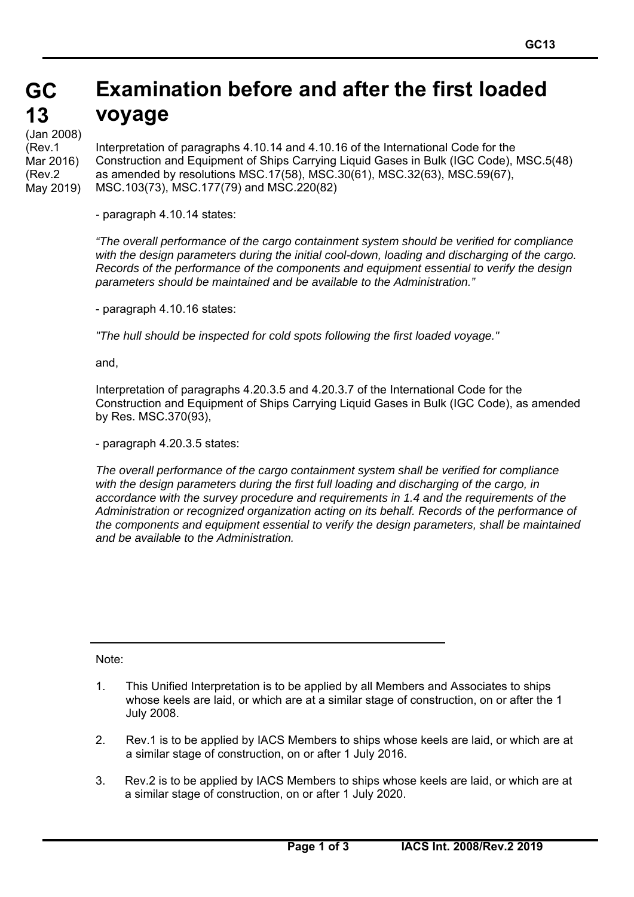#### **GC GC 13 13 Examination before and after the first loaded voyage**

(Jan 2008) (Rev.1 Mar 2016) (Rev.2 May 2019)

Interpretation of paragraphs 4.10.14 and 4.10.16 of the International Code for the Construction and Equipment of Ships Carrying Liquid Gases in Bulk (IGC Code), MSC.5(48) as amended by resolutions MSC.17(58), MSC.30(61), MSC.32(63), MSC.59(67), MSC.103(73), MSC.177(79) and MSC.220(82)

- paragraph 4.10.14 states:

*"The overall performance of the cargo containment system should be verified for compliance with the design parameters during the initial cool-down, loading and discharging of the cargo. Records of the performance of the components and equipment essential to verify the design parameters should be maintained and be available to the Administration."* 

- paragraph 4.10.16 states:

*"The hull should be inspected for cold spots following the first loaded voyage."* 

and,

Interpretation of paragraphs 4.20.3.5 and 4.20.3.7 of the International Code for the Construction and Equipment of Ships Carrying Liquid Gases in Bulk (IGC Code), as amended by Res. MSC.370(93),

- paragraph 4.20.3.5 states:

*The overall performance of the cargo containment system shall be verified for compliance with the design parameters during the first full loading and discharging of the cargo, in accordance with the survey procedure and requirements in 1.4 and the requirements of the Administration or recognized organization acting on its behalf. Records of the performance of the components and equipment essential to verify the design parameters, shall be maintained and be available to the Administration.* 

Note:

 $\overline{a}$ 

- 1. This Unified Interpretation is to be applied by all Members and Associates to ships whose keels are laid, or which are at a similar stage of construction, on or after the 1 July 2008.
- 2. Rev.1 is to be applied by IACS Members to ships whose keels are laid, or which are at a similar stage of construction, on or after 1 July 2016.
- 3. Rev.2 is to be applied by IACS Members to ships whose keels are laid, or which are at a similar stage of construction, on or after 1 July 2020.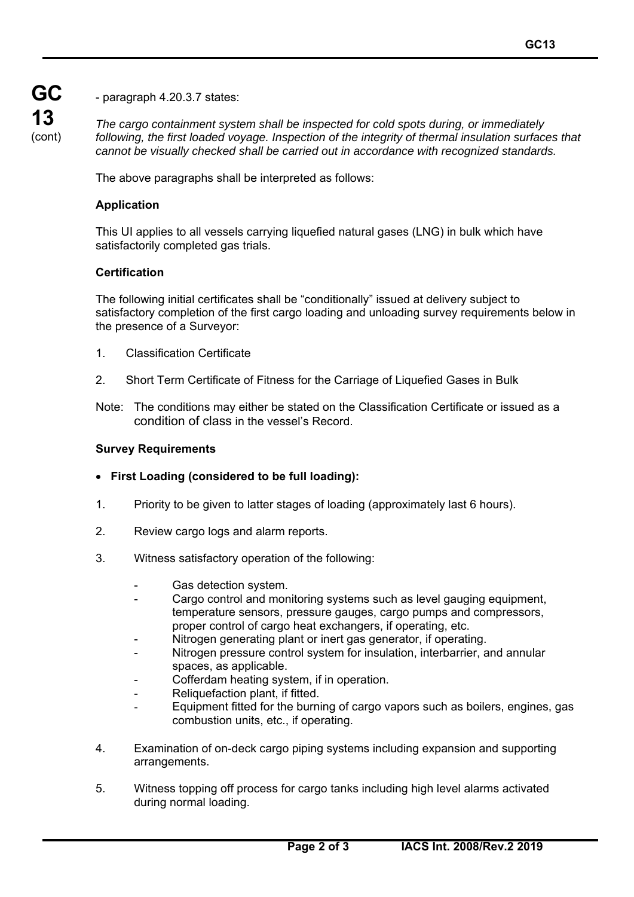**GC 13** (cont)

- paragraph 4.20.3.7 states:

*The cargo containment system shall be inspected for cold spots during, or immediately following, the first loaded voyage. Inspection of the integrity of thermal insulation surfaces that cannot be visually checked shall be carried out in accordance with recognized standards.* 

The above paragraphs shall be interpreted as follows:

## **Application**

This UI applies to all vessels carrying liquefied natural gases (LNG) in bulk which have satisfactorily completed gas trials.

### **Certification**

The following initial certificates shall be "conditionally" issued at delivery subject to satisfactory completion of the first cargo loading and unloading survey requirements below in the presence of a Surveyor:

- 1. Classification Certificate
- 2. Short Term Certificate of Fitness for the Carriage of Liquefied Gases in Bulk
- Note: The conditions may either be stated on the Classification Certificate or issued as a condition of class in the vessel's Record.

#### **Survey Requirements**

 $\overline{a}$ 

- **First Loading (considered to be full loading):**
- 1. Priority to be given to latter stages of loading (approximately last 6 hours).
- 2. Review cargo logs and alarm reports.
- 3. Witness satisfactory operation of the following:
	- Gas detection system.
	- Cargo control and monitoring systems such as level gauging equipment, temperature sensors, pressure gauges, cargo pumps and compressors, proper control of cargo heat exchangers, if operating, etc.
	- Nitrogen generating plant or inert gas generator, if operating.
	- Nitrogen pressure control system for insulation, interbarrier, and annular spaces, as applicable.
	- Cofferdam heating system, if in operation.
	- Reliquefaction plant, if fitted.
	- Equipment fitted for the burning of cargo vapors such as boilers, engines, gas combustion units, etc., if operating.
- 4. Examination of on-deck cargo piping systems including expansion and supporting arrangements.
- 5. Witness topping off process for cargo tanks including high level alarms activated during normal loading.